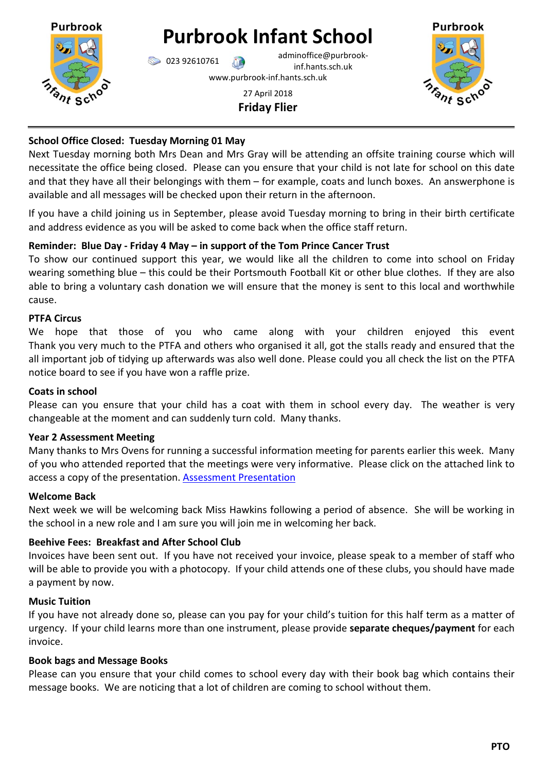

# **Purbrook Infant School**

023 92610761 adminoffice@purbrookinf.hants.sch.uk www.purbrook-inf.hants.sch.uk

## 27 April 2018 **Friday Flier**



## **School Office Closed: Tuesday Morning 01 May**

Next Tuesday morning both Mrs Dean and Mrs Gray will be attending an offsite training course which will necessitate the office being closed. Please can you ensure that your child is not late for school on this date and that they have all their belongings with them – for example, coats and lunch boxes. An answerphone is available and all messages will be checked upon their return in the afternoon.

If you have a child joining us in September, please avoid Tuesday morning to bring in their birth certificate and address evidence as you will be asked to come back when the office staff return.

# **Reminder: Blue Day - Friday 4 May – in support of the Tom Prince Cancer Trust**

To show our continued support this year, we would like all the children to come into school on Friday wearing something blue – this could be their Portsmouth Football Kit or other blue clothes. If they are also able to bring a voluntary cash donation we will ensure that the money is sent to this local and worthwhile cause.

# **PTFA Circus**

We hope that those of you who came along with your children enjoyed this event Thank you very much to the PTFA and others who organised it all, got the stalls ready and ensured that the all important job of tidying up afterwards was also well done. Please could you all check the list on the PTFA notice board to see if you have won a raffle prize.

## **Coats in school**

Please can you ensure that your child has a coat with them in school every day. The weather is very changeable at the moment and can suddenly turn cold. Many thanks.

# **Year 2 Assessment Meeting**

Many thanks to Mrs Ovens for running a successful information meeting for parents earlier this week. Many of you who attended reported that the meetings were very informative. Please click on the attached link to access a copy of the presentation. [Assessment Presentation](http://www.purbrook-inf.hants.sch.uk/wp-content/uploads/2018/04/SATs-meeting-revised-for-2018.pdf)

## **Welcome Back**

Next week we will be welcoming back Miss Hawkins following a period of absence. She will be working in the school in a new role and I am sure you will join me in welcoming her back.

# **Beehive Fees: Breakfast and After School Club**

Invoices have been sent out. If you have not received your invoice, please speak to a member of staff who will be able to provide you with a photocopy. If your child attends one of these clubs, you should have made a payment by now.

## **Music Tuition**

If you have not already done so, please can you pay for your child's tuition for this half term as a matter of urgency. If your child learns more than one instrument, please provide **separate cheques/payment** for each invoice.

## **Book bags and Message Books**

Please can you ensure that your child comes to school every day with their book bag which contains their message books. We are noticing that a lot of children are coming to school without them.